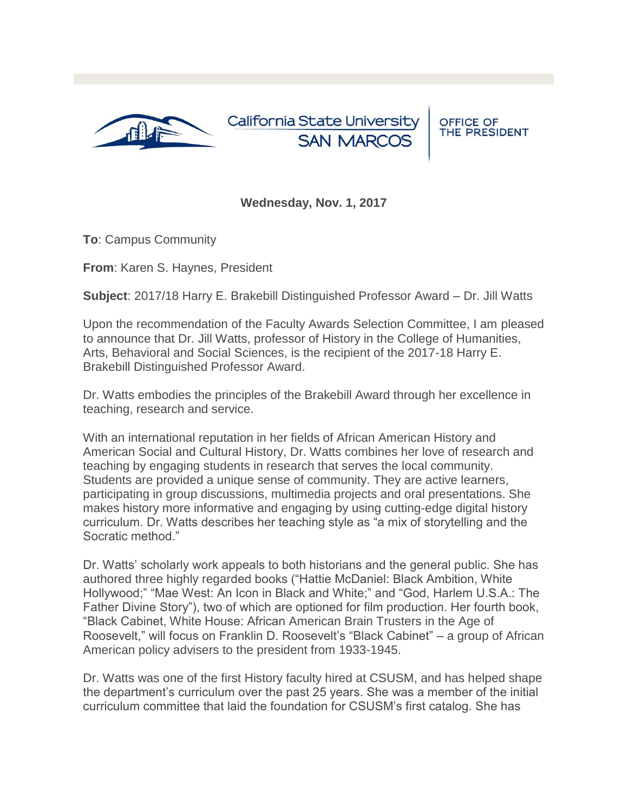

California State University **SAN MARCOS** 

OFFICE OF<br>THE PRESIDENT

## **Wednesday, Nov. 1, 2017**

**To**: Campus Community

**From**: Karen S. Haynes, President

**Subject**: 2017/18 Harry E. Brakebill Distinguished Professor Award – Dr. Jill Watts

Upon the recommendation of the Faculty Awards Selection Committee, I am pleased to announce that Dr. Jill Watts, professor of History in the College of Humanities, Arts, Behavioral and Social Sciences, is the recipient of the 2017-18 Harry E. Brakebill Distinguished Professor Award.

Dr. Watts embodies the principles of the Brakebill Award through her excellence in teaching, research and service.

With an international reputation in her fields of African American History and American Social and Cultural History, Dr. Watts combines her love of research and teaching by engaging students in research that serves the local community. Students are provided a unique sense of community. They are active learners, participating in group discussions, multimedia projects and oral presentations. She makes history more informative and engaging by using cutting-edge digital history curriculum. Dr. Watts describes her teaching style as "a mix of storytelling and the Socratic method."

Dr. Watts' scholarly work appeals to both historians and the general public. She has authored three highly regarded books ("Hattie McDaniel: Black Ambition, White Hollywood;" "Mae West: An Icon in Black and White;" and "God, Harlem U.S.A.: The Father Divine Story"), two of which are optioned for film production. Her fourth book, "Black Cabinet, White House: African American Brain Trusters in the Age of Roosevelt," will focus on Franklin D. Roosevelt's "Black Cabinet" – a group of African American policy advisers to the president from 1933-1945.

Dr. Watts was one of the first History faculty hired at CSUSM, and has helped shape the department's curriculum over the past 25 years. She was a member of the initial curriculum committee that laid the foundation for CSUSM's first catalog. She has